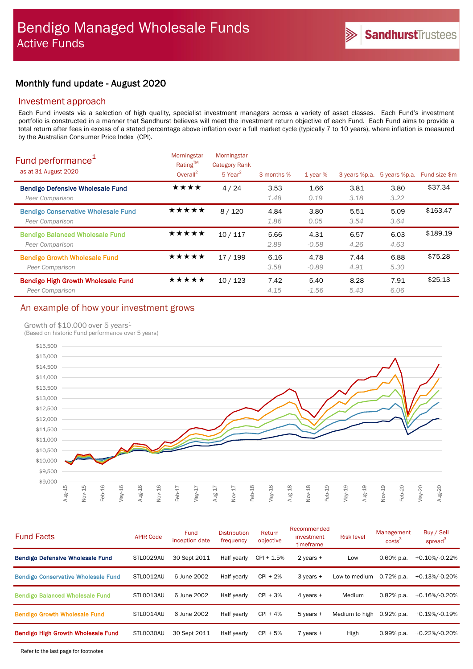# Monthly fund update - August 2020

# Investment approach

Each Fund invests via a selection of high quality, specialist investment managers across a variety of asset classes. Each Fund's investment portfolio is constructed in a manner that Sandhurst believes will meet the investment return objective of each Fund. Each Fund aims to provide a total return after fees in excess of a stated percentage above inflation over a full market cycle (typically 7 to 10 years), where inflation is measured by the Australian Consumer Price Index (CPI).

| Fund performance <sup>1</sup><br>as at 31 August 2020         | Morningstar<br>Rating™<br>Overall <sup>2</sup> | Morningstar<br><b>Category Rank</b><br>$5$ Year <sup>2</sup> | 3 months %   | 1 year $%$      | 3 years %p.a. | 5 years %p.a. | Fund size \$m |
|---------------------------------------------------------------|------------------------------------------------|--------------------------------------------------------------|--------------|-----------------|---------------|---------------|---------------|
| <b>Bendigo Defensive Wholesale Fund</b><br>Peer Comparison    | ★★★★                                           | 4/24                                                         | 3.53<br>1.48 | 1.66<br>0.19    | 3.81<br>3.18  | 3.80<br>3.22  | \$37.34       |
| <b>Bendigo Conservative Wholesale Fund</b><br>Peer Comparison | ★★★★★                                          | 8/120                                                        | 4.84<br>1.86 | 3.80<br>0.05    | 5.51<br>3.54  | 5.09<br>3.64  | \$163.47      |
| <b>Bendigo Balanced Wholesale Fund</b><br>Peer Comparison     | ★★★★★                                          | 10/117                                                       | 5.66<br>2.89 | 4.31<br>$-0.58$ | 6.57<br>4.26  | 6.03<br>4.63  | \$189.19      |
| <b>Bendigo Growth Wholesale Fund</b><br>Peer Comparison       | ★★★★★                                          | 17/199                                                       | 6.16<br>3.58 | 4.78<br>$-0.89$ | 7.44<br>4.91  | 6.88<br>5.30  | \$75.28       |
| Bendigo High Growth Wholesale Fund<br>Peer Comparison         | ★★★★★                                          | 10/123                                                       | 7.42<br>4.15 | 5.40<br>$-1.56$ | 8.28<br>5.43  | 7.91<br>6.06  | \$25.13       |

# An example of how your investment grows

## Growth of \$10,000 over 5 years<sup>1</sup>

(Based on historic Fund performance over 5 years)



| <b>Fund Facts</b>                          | <b>APIR Code</b> | <b>Fund</b><br>inception date | <b>Distribution</b><br>frequency | Return<br>objective | Recommended<br>investment<br>timeframe | <b>Risk level</b> | Management<br>$\text{costs}^3$ | Buy / Sell<br>spread <sup>3</sup> |
|--------------------------------------------|------------------|-------------------------------|----------------------------------|---------------------|----------------------------------------|-------------------|--------------------------------|-----------------------------------|
| <b>Bendigo Defensive Wholesale Fund</b>    | STL0029AU        | 30 Sept 2011                  | Half yearly                      | $CPI + 1.5%$        | 2 years +                              | Low               | $0.60\%$ p.a.                  | +0.10%/-0.22%                     |
| <b>Bendigo Conservative Wholesale Fund</b> | STLO012AU        | 6 June 2002                   | Half yearly                      | $CPI + 2%$          | $3$ years $+$                          | Low to medium     | $0.72%$ p.a.                   | +0.13%/-0.20%                     |
| <b>Bendigo Balanced Wholesale Fund</b>     | STLO013AU        | 6 June 2002                   | Half yearly                      | $CPI + 3%$          | 4 years +                              | Medium            | $0.82%$ p.a.                   | +0.16%/-0.20%                     |
| <b>Bendigo Growth Wholesale Fund</b>       | STLO014AU        | 6 June 2002                   | Half yearly                      | $CPI + 4%$          | $5$ years $+$                          | Medium to high    | $0.92%$ p.a.                   | +0.19%/-0.19%                     |
| <b>Bendigo High Growth Wholesale Fund</b>  | STL0030AU        | 30 Sept 2011                  | Half yearly                      | $CPI + 5%$          | $7$ years $+$                          | High              | $0.99\%$ p.a.                  | +0.22%/-0.20%                     |
|                                            |                  |                               |                                  |                     |                                        |                   |                                |                                   |

Refer to the last page for footnotes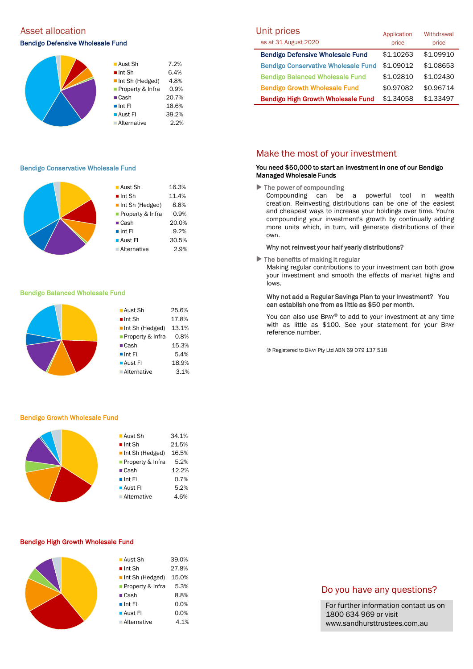# Asset allocation and the Unit prices of the Unit prices of the Unit prices of the Unit prices of the Unit prices

### Bendigo Defensive Wholesale Fund



### Bendigo Conservative Wholesale Fund

|  | $\blacksquare$ Aust Sh | 16.3% |
|--|------------------------|-------|
|  | $\blacksquare$ Int Sh  | 11.4% |
|  | Int Sh (Hedged)        | 8.8%  |
|  | Property & Infra       | 0.9%  |
|  | $\blacksquare$ Cash    | 20.0% |
|  | $\blacksquare$ Int FI  | 9.2%  |
|  | ■ Aust Fl              | 30.5% |
|  | <b>Alternative</b>     | 2.9%  |
|  |                        |       |

#### Bendigo Balanced Wholesale Fund



#### Bendigo Growth Wholesale Fund

| ■ Aust Sh                      | 34.1% |
|--------------------------------|-------|
| $\blacksquare$ Int Sh          | 21.5% |
| $\blacksquare$ Int Sh (Hedged) | 16.5% |
| <b>Property &amp; Infra</b>    | 5.2%  |
| $\blacksquare$ Cash            | 12.2% |
| $\blacksquare$ Int FI          | 0.7%  |
| $\blacksquare$ Aust FI         | 5.2%  |
| <b>Alternative</b>             | 4.6%  |
|                                |       |

### Bendigo High Growth Wholesale Fund

| ■ Aust Sh             | 39.0% |
|-----------------------|-------|
| $\blacksquare$ Int Sh | 27.8% |
| Int Sh (Hedged)       | 15.0% |
| Property & Infra      | 5.3%  |
| $\blacksquare$ Cash   | 8.8%  |
| $\blacksquare$ Int FI | 0.0%  |
| ■ Aust Fl             | 0.0%  |
| <b>Alternative</b>    | 4.1%  |

| Unit prices                                | Application | Withdrawal |
|--------------------------------------------|-------------|------------|
| as at 31 August 2020                       | price       | price      |
| <b>Bendigo Defensive Wholesale Fund</b>    | \$1.10263   | \$1.09910  |
| <b>Bendigo Conservative Wholesale Fund</b> | \$1.09012   | \$1.08653  |
| <b>Bendigo Balanced Wholesale Fund</b>     | \$1.02810   | \$1.02430  |
| <b>Bendigo Growth Wholesale Fund</b>       | \$0.97082   | \$0.96714  |
| <b>Bendigo High Growth Wholesale Fund</b>  | \$1.34058   | \$1.33497  |

# Make the most of your investment

## You need \$50,000 to start an investment in one of our Bendigo Managed Wholesale Funds

 $\blacktriangleright$  The power of compounding

Compounding can be a powerful tool in wealth creation. Reinvesting distributions can be one of the easiest and cheapest ways to increase your holdings over time. You're compounding your investment's growth by continually adding more units which, in turn, will generate distributions of their own.

#### Why not reinvest your half yearly distributions?

 $\blacktriangleright$  The benefits of making it regular

Making regular contributions to your investment can both grow your investment and smooth the effects of market highs and lows.

### Why not add a Regular Savings Plan to your investment? You can establish one from as little as \$50 per month.

You can also use BPAY® to add to your investment at any time with as little as \$100. See your statement for your BPAY reference number.

® Registered to BPAY Pty Ltd ABN 69 079 137 518

# Do you have any questions?

For further information contact us on 1800 634 969 or visit www.sandhursttrustees.com.au